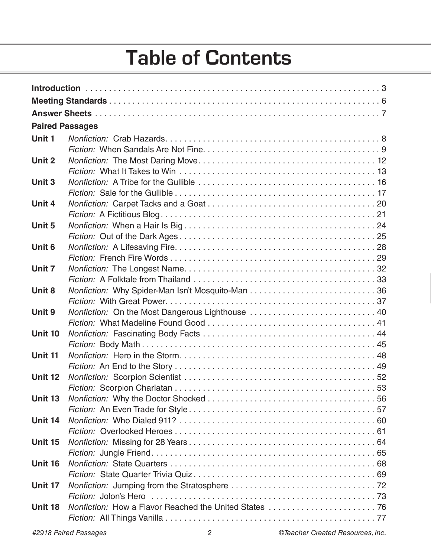# **Table of Contents**

| <b>Paired Passages</b> |                                                  |  |
|------------------------|--------------------------------------------------|--|
| Unit 1                 |                                                  |  |
|                        |                                                  |  |
| Unit 2                 |                                                  |  |
|                        |                                                  |  |
| Unit 3                 |                                                  |  |
|                        |                                                  |  |
| Unit 4                 |                                                  |  |
|                        |                                                  |  |
| Unit 5                 |                                                  |  |
|                        |                                                  |  |
| Unit <sub>6</sub>      |                                                  |  |
|                        |                                                  |  |
| Unit 7                 |                                                  |  |
|                        |                                                  |  |
| Unit 8                 |                                                  |  |
|                        |                                                  |  |
| Unit 9                 | Nonfiction: On the Most Dangerous Lighthouse  40 |  |
|                        |                                                  |  |
| Unit 10                |                                                  |  |
|                        |                                                  |  |
| Unit 11                |                                                  |  |
|                        |                                                  |  |
| Unit 12                |                                                  |  |
|                        |                                                  |  |
| <b>Unit 13</b>         |                                                  |  |
|                        |                                                  |  |
| Unit 14                |                                                  |  |
|                        |                                                  |  |
| Unit 15                |                                                  |  |
|                        |                                                  |  |
| <b>Unit 16</b>         |                                                  |  |
|                        |                                                  |  |
| Unit 17                |                                                  |  |
|                        |                                                  |  |
| Unit 18                |                                                  |  |
|                        |                                                  |  |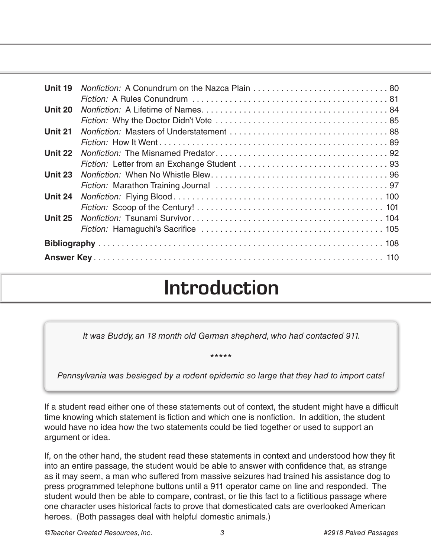| Unit 19        |  |  |
|----------------|--|--|
|                |  |  |
| Unit 20        |  |  |
|                |  |  |
| Unit 21        |  |  |
|                |  |  |
| Unit 22        |  |  |
|                |  |  |
| Unit 23        |  |  |
|                |  |  |
| Unit 24        |  |  |
|                |  |  |
| <b>Unit 25</b> |  |  |
|                |  |  |
|                |  |  |
|                |  |  |

### **Introduction**

*It was Buddy, an 18 month old German shepherd, who had contacted 911.* 

#### \*\*\*\*\*

*Pennsylvania was besieged by a rodent epidemic so large that they had to import cats!*

If a student read either one of these statements out of context, the student might have a difficult time knowing which statement is fiction and which one is nonfiction. In addition, the student would have no idea how the two statements could be tied together or used to support an argument or idea.

If, on the other hand, the student read these statements in context and understood how they fit into an entire passage, the student would be able to answer with confidence that, as strange as it may seem, a man who suffered from massive seizures had trained his assistance dog to press programmed telephone buttons until a 911 operator came on line and responded. The student would then be able to compare, contrast, or tie this fact to a fictitious passage where one character uses historical facts to prove that domesticated cats are overlooked American heroes. (Both passages deal with helpful domestic animals.)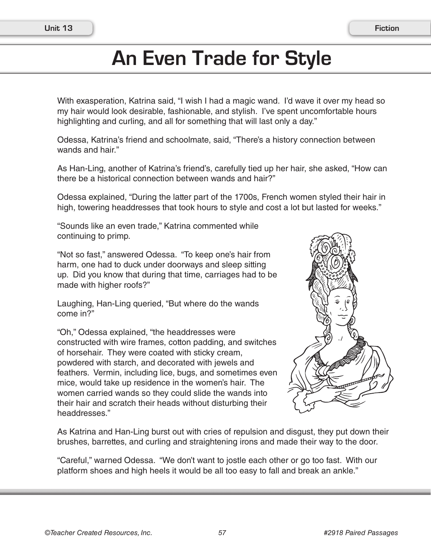# **An Even Trade for Style**

With exasperation, Katrina said, "I wish I had a magic wand. I'd wave it over my head so my hair would look desirable, fashionable, and stylish. I've spent uncomfortable hours highlighting and curling, and all for something that will last only a day."

Odessa, Katrina's friend and schoolmate, said, "There's a history connection between wands and hair."

As Han-Ling, another of Katrina's friend's, carefully tied up her hair, she asked, "How can there be a historical connection between wands and hair?"

Odessa explained, "During the latter part of the 1700s, French women styled their hair in high, towering headdresses that took hours to style and cost a lot but lasted for weeks."

"Sounds like an even trade," Katrina commented while continuing to primp.

"Not so fast," answered Odessa. "To keep one's hair from harm, one had to duck under doorways and sleep sitting up. Did you know that during that time, carriages had to be made with higher roofs?"

Laughing, Han-Ling queried, "But where do the wands come in?"

"Oh," Odessa explained, "the headdresses were constructed with wire frames, cotton padding, and switches of horsehair. They were coated with sticky cream, powdered with starch, and decorated with jewels and feathers. Vermin, including lice, bugs, and sometimes even mice, would take up residence in the women's hair. The women carried wands so they could slide the wands into their hair and scratch their heads without disturbing their headdresses."



As Katrina and Han-Ling burst out with cries of repulsion and disgust, they put down their brushes, barrettes, and curling and straightening irons and made their way to the door.

"Careful," warned Odessa. "We don't want to jostle each other or go too fast. With our platform shoes and high heels it would be all too easy to fall and break an ankle."